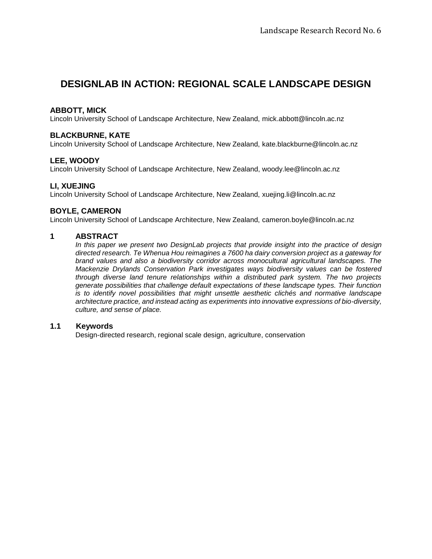# **DESIGNLAB IN ACTION: REGIONAL SCALE LANDSCAPE DESIGN**

## **ABBOTT, MICK**

Lincoln University School of Landscape Architecture, New Zealand, [mick.abbott@lincoln.ac.nz](mailto:mick.abbott@lincoln.ac.nz)

## **BLACKBURNE, KATE**

Lincoln University School of Landscape Architecture, New Zealand, [kate.blackburne@lincoln.ac.nz](mailto:kate.blackburne@lincoln.ac.nz)

# **LEE, WOODY**

Lincoln University School of Landscape Architecture, New Zealand, [woody.lee@lincoln.ac.nz](mailto:woody.lee@lincoln.ac.nz)

## **LI, XUEJING**

Lincoln University School of Landscape Architecture, New Zealand, [xuejing.li@lincoln.ac.nz](mailto:xuejing.li@lincoln.ac.nz)

## **BOYLE, CAMERON**

Lincoln University School of Landscape Architecture, New Zealand, [cameron.boyle@lincoln.ac.nz](mailto:cameron.boyle@lincoln.ac.nz)

#### **1 ABSTRACT**

*In this paper we present two DesignLab projects that provide insight into the practice of design directed research. Te Whenua Hou reimagines a 7600 ha dairy conversion project as a gateway for brand values and also a biodiversity corridor across monocultural agricultural landscapes. The Mackenzie Drylands Conservation Park investigates ways biodiversity values can be fostered through diverse land tenure relationships within a distributed park system. The two projects generate possibilities that challenge default expectations of these landscape types. Their function is to identify novel possibilities that might unsettle aesthetic clichés and normative landscape architecture practice, and instead acting as experiments into innovative expressions of bio-diversity, culture, and sense of place.*

## **1.1 Keywords**

Design-directed research, regional scale design, agriculture, conservation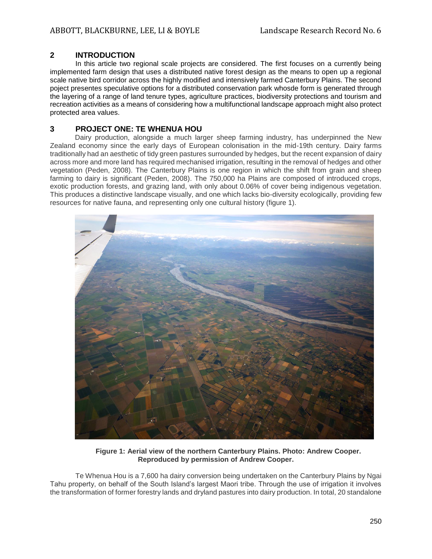#### **2 INTRODUCTION**

In this article two regional scale projects are considered. The first focuses on a currently being implemented farm design that uses a distributed native forest design as the means to open up a regional scale native bird corridor across the highly modified and intensively farmed Canterbury Plains. The second poject presentes speculative options for a distributed conservation park whosde form is generated through the layering of a range of land tenure types, agriculture practices, biodiversity protections and tourism and recreation activities as a means of considering how a multifunctional landscape approach might also protect protected area values.

#### **3 PROJECT ONE: TE WHENUA HOU**

Dairy production, alongside a much larger sheep farming industry, has underpinned the New Zealand economy since the early days of European colonisation in the mid-19th century. Dairy farms traditionally had an aesthetic of tidy green pastures surrounded by hedges, but the recent expansion of dairy across more and more land has required mechanised irrigation, resulting in the removal of hedges and other vegetation (Peden, 2008). The Canterbury Plains is one region in which the shift from grain and sheep farming to dairy is significant (Peden, 2008). The 750,000 ha Plains are composed of introduced crops, exotic production forests, and grazing land, with only about 0.06% of cover being indigenous vegetation. This produces a distinctive landscape visually, and one which lacks bio-diversity ecologically, providing few resources for native fauna, and representing only one cultural history (figure 1).



**Figure 1: Aerial view of the northern Canterbury Plains. Photo: Andrew Cooper. Reproduced by permission of Andrew Cooper.**

Te Whenua Hou is a 7,600 ha dairy conversion being undertaken on the Canterbury Plains by Ngai Tahu property, on behalf of the South Island's largest Maori tribe. Through the use of irrigation it involves the transformation of former forestry lands and dryland pastures into dairy production. In total, 20 standalone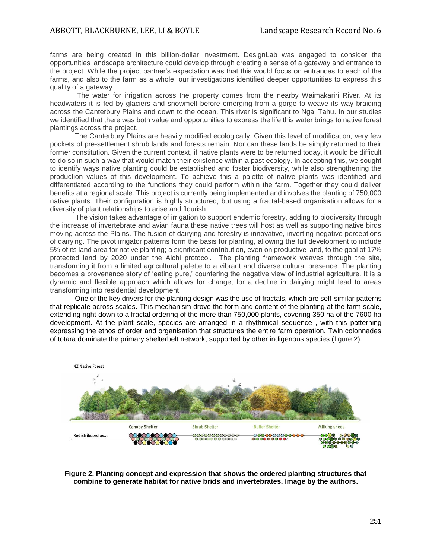farms are being created in this billion-dollar investment. DesignLab was engaged to consider the opportunities landscape architecture could develop through creating a sense of a gateway and entrance to the project. While the project partner's expectation was that this would focus on entrances to each of the farms, and also to the farm as a whole, our investigations identified deeper opportunities to express this quality of a gateway.

The water for irrigation across the property comes from the nearby Waimakariri River. At its headwaters it is fed by glaciers and snowmelt before emerging from a gorge to weave its way braiding across the Canterbury Plains and down to the ocean. This river is significant to Ngai Tahu. In our studies we identified that there was both value and opportunities to express the life this water brings to native forest plantings across the project.

The Canterbury Plains are heavily modified ecologically. Given this level of modification, very few pockets of pre-settlement shrub lands and forests remain. Nor can these lands be simply returned to their former constitution. Given the current context, if native plants were to be returned today, it would be difficult to do so in such a way that would match their existence within a past ecology. In accepting this, we sought to identify ways native planting could be established and foster biodiversity, while also strengthening the production values of this development. To achieve this a palette of native plants was identified and differentiated according to the functions they could perform within the farm. Together they could deliver benefits at a regional scale. This project is currently being implemented and involves the planting of 750,000 native plants. Their configuration is highly structured, but using a fractal-based organisation allows for a diversity of plant relationships to arise and flourish.

The vision takes advantage of irrigation to support endemic forestry, adding to biodiversity through the increase of invertebrate and avian fauna these native trees will host as well as supporting native birds moving across the Plains. The fusion of dairying and forestry is innovative, inverting negative perceptions of dairying. The pivot irrigator patterns form the basis for planting, allowing the full development to include 5% of its land area for native planting; a significant contribution, even on productive land, to the goal of 17% protected land by 2020 under the Aichi protocol. The planting framework weaves through the site, transforming it from a limited agricultural palette to a vibrant and diverse cultural presence. The planting becomes a provenance story of 'eating pure,' countering the negative view of industrial agriculture. It is a dynamic and flexible approach which allows for change, for a decline in dairying might lead to areas transforming into residential development.

One of the key drivers for the planting design was the use of fractals, which are self-similar patterns that replicate across scales. This mechanism drove the form and content of the planting at the farm scale, extending right down to a fractal ordering of the more than 750,000 plants, covering 350 ha of the 7600 ha development. At the plant scale, species are arranged in a rhythmical sequence , with this patterning expressing the ethos of order and organisation that structures the entire farm operation. Twin colonnades of totara dominate the primary shelterbelt network, supported by other indigenous species (figure 2).



**Figure 2. Planting concept and expression that shows the ordered planting structures that combine to generate habitat for native brids and invertebrates. Image by the authors.**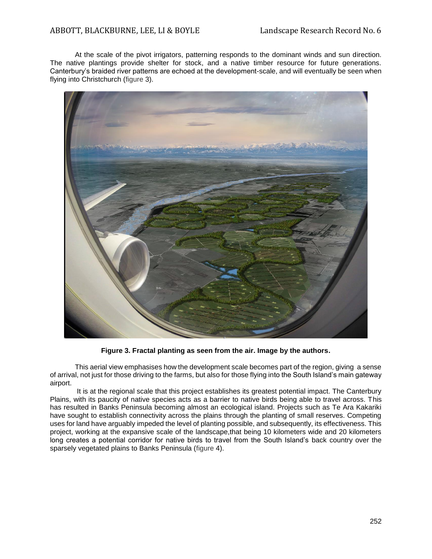At the scale of the pivot irrigators, patterning responds to the dominant winds and sun direction. The native plantings provide shelter for stock, and a native timber resource for future generations. Canterbury's braided river patterns are echoed at the development-scale, and will eventually be seen when flying into Christchurch (figure 3).



**Figure 3. Fractal planting as seen from the air. Image by the authors.**

This aerial view emphasises how the development scale becomes part of the region, giving a sense of arrival, not just for those driving to the farms, but also for those flying into the South Island's main gateway airport.

It is at the regional scale that this project establishes its greatest potential impact. The Canterbury Plains, with its paucity of native species acts as a barrier to native birds being able to travel across. This has resulted in Banks Peninsula becoming almost an ecological island. Projects such as Te Ara Kakariki have sought to establish connectivity across the plains through the planting of small reserves. Competing uses for land have arguably impeded the level of planting possible, and subsequently, its effectiveness. This project, working at the expansive scale of the landscape,that being 10 kilometers wide and 20 kilometers long creates a potential corridor for native birds to travel from the South Island's back country over the sparsely vegetated plains to Banks Peninsula (figure 4).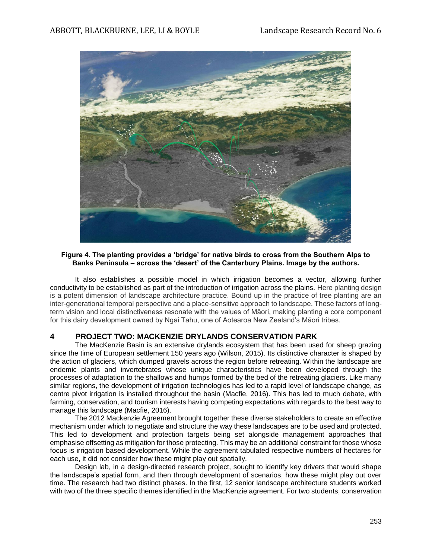

#### **Figure 4. The planting provides a 'bridge' for native birds to cross from the Southern Alps to Banks Peninsula – across the 'desert' of the Canterbury Plains. Image by the authors.**

It also establishes a possible model in which irrigation becomes a vector, allowing further conductivity to be established as part of the introduction of irrigation across the plains. Here planting design is a potent dimension of landscape architecture practice. Bound up in the practice of tree planting are an inter-generational temporal perspective and a place-sensitive approach to landscape. These factors of longterm vision and local distinctiveness resonate with the values of Māori, making planting a core component for this dairy development owned by Ngai Tahu, one of Aotearoa New Zealand's Māori tribes.

#### **4 PROJECT TWO: MACKENZIE DRYLANDS CONSERVATION PARK**

The MacKenzie Basin is an extensive drylands ecosystem that has been used for sheep grazing since the time of European settlement 150 years ago (Wilson, 2015). Its distinctive character is shaped by the action of glaciers, which dumped gravels across the region before retreating. Within the landscape are endemic plants and invertebrates whose unique characteristics have been developed through the processes of adaptation to the shallows and humps formed by the bed of the retreating glaciers. Like many similar regions, the development of irrigation technologies has led to a rapid level of landscape change, as centre pivot irrigation is installed throughout the basin (Macfie, 2016). This has led to much debate, with farming, conservation, and tourism interests having competing expectations with regards to the best way to manage this landscape (Macfie, 2016).

The 2012 Mackenzie Agreement brought together these diverse stakeholders to create an effective mechanism under which to negotiate and structure the way these landscapes are to be used and protected. This led to development and protection targets being set alongside management approaches that emphasise offsetting as mitigation for those protecting. This may be an additional constraint for those whose focus is irrigation based development. While the agreement tabulated respective numbers of hectares for each use, it did not consider how these might play out spatially.

Design lab, in a design-directed research project, sought to identify key drivers that would shape the landscape's spatial form, and then through development of scenarios, how these might play out over time. The research had two distinct phases. In the first, 12 senior landscape architecture students worked with two of the three specific themes identified in the MacKenzie agreement. For two students, conservation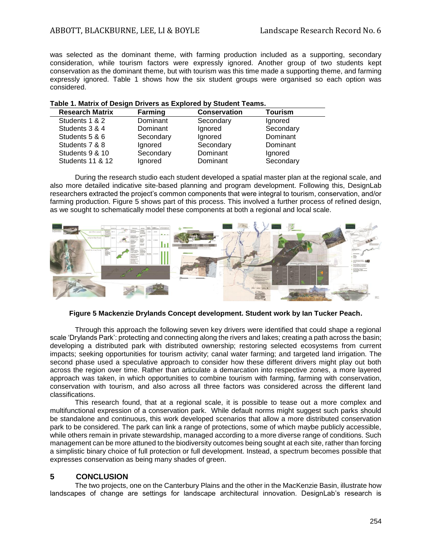was selected as the dominant theme, with farming production included as a supporting, secondary consideration, while tourism factors were expressly ignored. Another group of two students kept conservation as the dominant theme, but with tourism was this time made a supporting theme, and farming expressly ignored. Table 1 shows how the six student groups were organised so each option was considered.

#### **Table 1. Matrix of Design Drivers as Explored by Student Teams.**

| <b>Research Matrix</b>      | Farming   | <b>Conservation</b> | <b>Tourism</b> |
|-----------------------------|-----------|---------------------|----------------|
| Students 1 & 2              | Dominant  | Secondary           | Ignored        |
| Students 3 & 4              | Dominant  | Ignored             | Secondary      |
| Students 5 & 6              | Secondary | Ignored             | Dominant       |
| Students 7 & 8              | Ignored   | Secondary           | Dominant       |
| Students 9 & 10             | Secondary | Dominant            | Ignored        |
| <b>Students 11 &amp; 12</b> | Ignored   | Dominant            | Secondary      |

During the research studio each student developed a spatial master plan at the regional scale, and also more detailed indicative site-based planning and program development. Following this, DesignLab researchers extracted the project's common components that were integral to tourism, conservation, and/or farming production. Figure 5 shows part of this process. This involved a further process of refined design, as we sought to schematically model these components at both a regional and local scale.



#### **Figure 5 Mackenzie Drylands Concept development. Student work by Ian Tucker Peach.**

Through this approach the following seven key drivers were identified that could shape a regional scale 'Drylands Park': protecting and connecting along the rivers and lakes; creating a path across the basin; developing a distributed park with distributed ownership; restoring selected ecosystems from current impacts; seeking opportunities for tourism activity; canal water farming; and targeted land irrigation. The second phase used a speculative approach to consider how these different drivers might play out both across the region over time. Rather than articulate a demarcation into respective zones, a more layered approach was taken, in which opportunities to combine tourism with farming, farming with conservation, conservation with tourism, and also across all three factors was considered across the different land classifications.

This research found, that at a regional scale, it is possible to tease out a more complex and multifunctional expression of a conservation park. While default norms might suggest such parks should be standalone and continuous, this work developed scenarios that allow a more distributed conservation park to be considered. The park can link a range of protections, some of which maybe publicly accessible, while others remain in private stewardship, managed according to a more diverse range of conditions. Such management can be more attuned to the biodiversity outcomes being sought at each site, rather than forcing a simplistic binary choice of full protection or full development. Instead, a spectrum becomes possible that expresses conservation as being many shades of green.

## **5 CONCLUSION**

The two projects, one on the Canterbury Plains and the other in the MacKenzie Basin, illustrate how landscapes of change are settings for landscape architectural innovation. DesignLab's research is